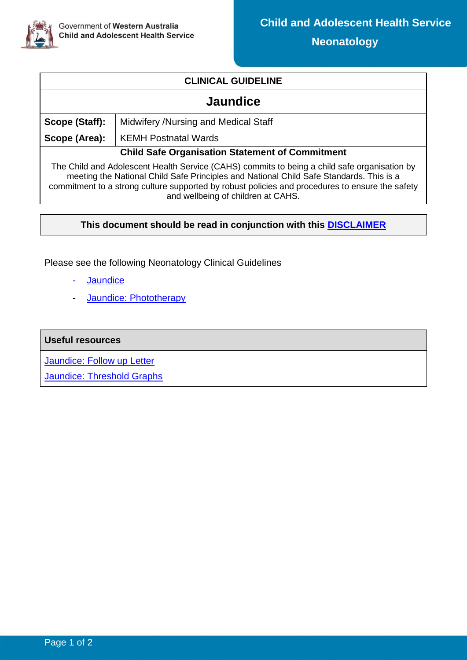

## **CLINICAL GUIDELINE**

## **Jaundice**

| Scope (Staff):                                                                                                                                                                          | Midwifery /Nursing and Medical Staff |  |  |
|-----------------------------------------------------------------------------------------------------------------------------------------------------------------------------------------|--------------------------------------|--|--|
| Scope (Area):                                                                                                                                                                           | <b>KEMH Postnatal Wards</b>          |  |  |
| <b>Child Safe Organisation Statement of Commitment</b>                                                                                                                                  |                                      |  |  |
| The Child and Adolescent Health Service (CAHS) commits to being a child safe organisation by<br>mooting the National Child Safe Drineiples and National Child Safe Standards. This is a |                                      |  |  |

meeting the National Child Safe Principles and National Child Safe Standards. This is a commitment to a strong culture supported by robust policies and procedures to ensure the safety and wellbeing of children at CAHS.

## **This document should be read in conjunction with this [DISCLAIMER](https://healthpoint.hdwa.health.wa.gov.au/policies/Policies/CAHS/CAHS.PM.ClinicalDisclaimer.pdf)**

Please see the following Neonatology Clinical Guidelines

- [Jaundice](https://www.cahs.health.wa.gov.au/-/media/HSPs/CAHS/Documents/Health-Professionals/Neonatology-guidelines/Jaundice.pdf)
- Jaundice: [Phototherapy](https://www.cahs.health.wa.gov.au/-/media/HSPs/CAHS/Documents/Health-Professionals/Neonatology-guidelines/Jaundice-Phototherapy.pdf)

## **Useful resources**

Jaundice: [Follow up Letter](https://cahs-healthpoint.hdwa.health.wa.gov.au/Neonatology/Neonatology%20Forms/Jaundice%20Information%20and%20Follow-up%20Letter.pdf)

[Jaundice: Threshold Graphs](https://cahs-healthpoint.hdwa.health.wa.gov.au/Neonatology/Documents/CAHS.NEO.Jaundice_ThresholdGraphs.xlsx)